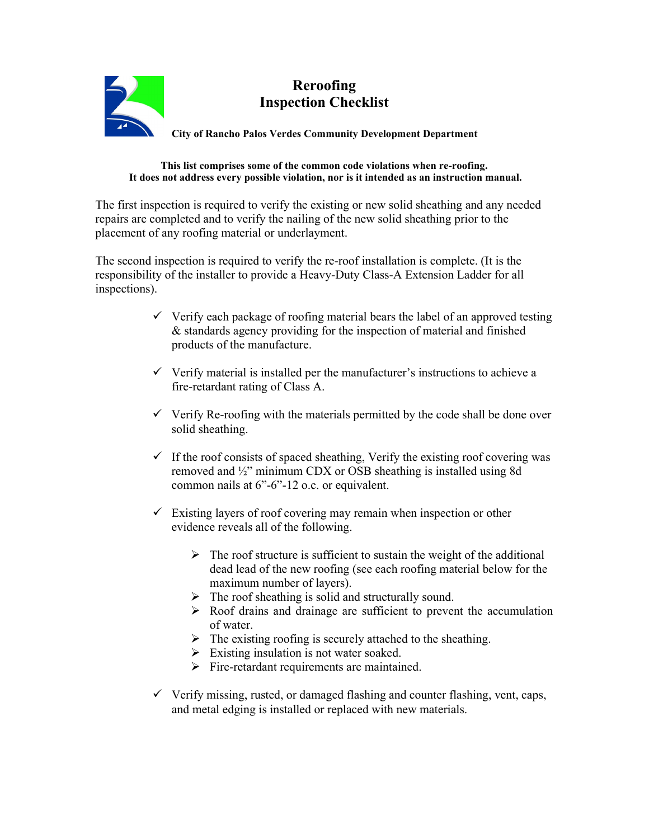

## **This list comprises some of the common code violations when re-roofing. It does not address every possible violation, nor is it intended as an instruction manual.**

The first inspection is required to verify the existing or new solid sheathing and any needed repairs are completed and to verify the nailing of the new solid sheathing prior to the placement of any roofing material or underlayment.

The second inspection is required to verify the re-roof installation is complete. (It is the responsibility of the installer to provide a Heavy-Duty Class-A Extension Ladder for all inspections).

- $\checkmark$  Verify each package of roofing material bears the label of an approved testing & standards agency providing for the inspection of material and finished products of the manufacture.
- $\checkmark$  Verify material is installed per the manufacturer's instructions to achieve a fire-retardant rating of Class A.
- $\checkmark$  Verify Re-roofing with the materials permitted by the code shall be done over solid sheathing.
- $\checkmark$  If the roof consists of spaced sheathing, Verify the existing roof covering was removed and ½" minimum CDX or OSB sheathing is installed using 8d common nails at 6"-6"-12 o.c. or equivalent.
- $\checkmark$  Existing layers of roof covering may remain when inspection or other evidence reveals all of the following.
	- $\triangleright$  The roof structure is sufficient to sustain the weight of the additional dead lead of the new roofing (see each roofing material below for the maximum number of layers).
	- $\triangleright$  The roof sheathing is solid and structurally sound.
	- $\triangleright$  Roof drains and drainage are sufficient to prevent the accumulation of water.
	- $\triangleright$  The existing roofing is securely attached to the sheathing.
	- $\triangleright$  Existing insulation is not water soaked.
	- $\triangleright$  Fire-retardant requirements are maintained.
- $\checkmark$  Verify missing, rusted, or damaged flashing and counter flashing, vent, caps, and metal edging is installed or replaced with new materials.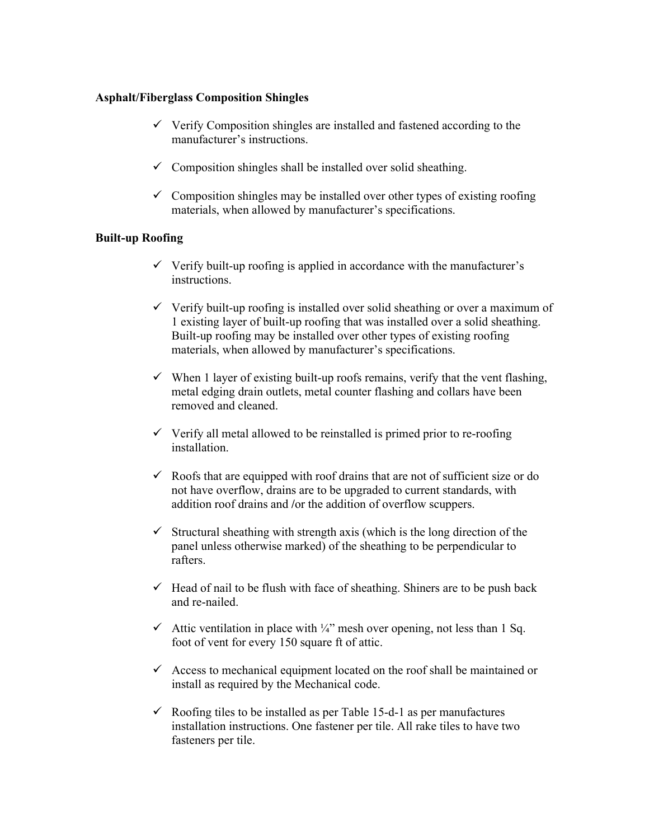## **Asphalt/Fiberglass Composition Shingles**

- $\checkmark$  Verify Composition shingles are installed and fastened according to the manufacturer's instructions.
- $\checkmark$  Composition shingles shall be installed over solid sheathing.
- $\checkmark$  Composition shingles may be installed over other types of existing roofing materials, when allowed by manufacturer's specifications.

## **Built-up Roofing**

- $\checkmark$  Verify built-up roofing is applied in accordance with the manufacturer's instructions.
- $\checkmark$  Verify built-up roofing is installed over solid sheathing or over a maximum of 1 existing layer of built-up roofing that was installed over a solid sheathing. Built-up roofing may be installed over other types of existing roofing materials, when allowed by manufacturer's specifications.
- $\checkmark$  When 1 layer of existing built-up roofs remains, verify that the vent flashing, metal edging drain outlets, metal counter flashing and collars have been removed and cleaned.
- $\checkmark$  Verify all metal allowed to be reinstalled is primed prior to re-roofing installation.
- $\checkmark$  Roofs that are equipped with roof drains that are not of sufficient size or do not have overflow, drains are to be upgraded to current standards, with addition roof drains and **/**or the addition of overflow scuppers.
- $\checkmark$  Structural sheathing with strength axis (which is the long direction of the panel unless otherwise marked) of the sheathing to be perpendicular to rafters.
- $\checkmark$  Head of nail to be flush with face of sheathing. Shiners are to be push back and re-nailed.
- Attic ventilation in place with  $\frac{1}{4}$ " mesh over opening, not less than 1 Sq. foot of vent for every 150 square ft of attic.
- $\checkmark$  Access to mechanical equipment located on the roof shall be maintained or install as required by the Mechanical code.
- $\checkmark$  Roofing tiles to be installed as per Table 15-d-1 as per manufactures installation instructions. One fastener per tile. All rake tiles to have two fasteners per tile.